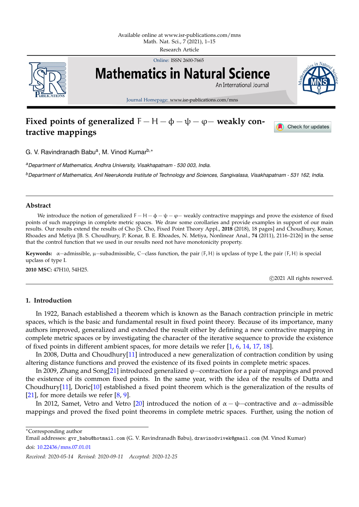

Online: ISSN 2600-7665



Journal Homepage: www.isr-publications.com/mns

# **Fixed points of generalized**  $F - H - \phi - \psi - \phi -$  weakly con**tractive mappings**



Check for updates

G. V. Ravindranadh Babu<sup>a</sup>, M. Vinod Kumar<sup>b,∗</sup>

*<sup>a</sup>Department of Mathematics, Andhra University, Visakhapatnam - 530 003, India.*

*<sup>b</sup>Department of Mathematics, Anil Neerukonda Institute of Technology and Sciences, Sangivalasa, Visakhapatnam - 531 162, India.*

# **Abstract**

We introduce the notion of generalized F – H –  $\phi$  –  $\psi$  –  $\varphi$  – weakly contractive mappings and prove the existence of fixed points of such mappings in complete metric spaces. We draw some corollaries and provide examples in support of our main results. Our results extend the results of Cho [S. Cho, Fixed Point Theory Appl., **2018** (2018), 18 pages] and Choudhury, Konar, Rhoades and Metiya [B. S. Choudhury, P. Konar, B. E. Rhoades, N. Metiya, Nonlinear Anal., **74** (2011), 2116–2126] in the sense that the control function that we used in our results need not have monotonicity property.

**Keywords:** α−admissible, µ−subadmissible, C−class function, the pair (F, H) is upclass of type I, the pair (F, H) is special upclass of type I.

**2010 MSC:** 47H10, 54H25.

c 2021 All rights reserved.

# <span id="page-0-0"></span>**1. Introduction**

In 1922, Banach established a theorem which is known as the Banach contraction principle in metric spaces, which is the basic and fundamental result in fixed point theory. Because of its importance, many authors improved, generalized and extended the result either by defining a new contractive mapping in complete metric spaces or by investigating the character of the iterative sequence to provide the existence of fixed points in different ambient spaces, for more details we refer [\[1,](#page-13-0) [6,](#page-14-0) [14,](#page-14-1) [17,](#page-14-2) [18\]](#page-14-3).

In 2008, Dutta and Choudhury[\[11\]](#page-14-4) introduced a new generalization of contraction condition by using altering distance functions and proved the existence of its fixed points in complete metric spaces.

In 2009, Zhang and Song[\[21\]](#page-14-5) introduced generalized ϕ−contraction for a pair of mappings and proved the existence of its common fixed points. In the same year, with the idea of the results of Dutta and Choudhury[\[11\]](#page-14-4), Doric[\[10\]](#page-14-6) established a fixed point theorem which is the generalization of the results of [\[21\]](#page-14-5), for more details we refer [\[8,](#page-14-7) [9\]](#page-14-8).

In 2012, Samet, Vetro and Vetro [\[20\]](#page-14-9) introduced the notion of  $\alpha - \psi$  –contractive and  $\alpha$ –admissible mappings and proved the fixed point theorems in complete metric spaces. Further, using the notion of

<sup>∗</sup>Corresponding author

Email addresses: gvr\_babu@hotmail.com (G. V. Ravindranadh Babu), dravinodvivek@gmail.com (M. Vinod Kumar)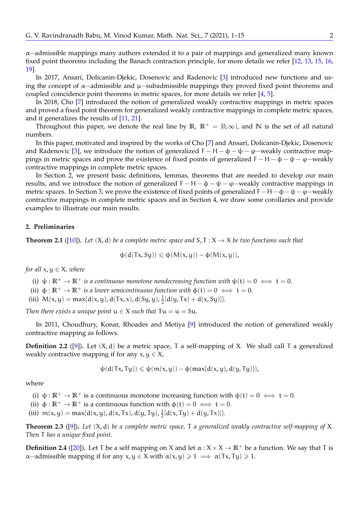α−admissible mappings many authors extended it to a pair of mappings and generalized many known fixed point theorems including the Banach contraction principle, for more details we refer [\[12,](#page-14-10) [13,](#page-14-11) [15,](#page-14-12) [16,](#page-14-13) [19\]](#page-14-14).

In 2017, Ansari, Dolicanin-Djekic, Dosenovic and Radenovic [\[3\]](#page-13-1) introduced new functions and using the concept of α−admissible and µ−subadmissible mappings they proved fixed point theorems and coupled coincidence point theorems in metric spaces, for more details we refer [\[4,](#page-13-2) [5\]](#page-13-3).

In 2018, Cho [\[7\]](#page-14-15) introduced the notion of generalized weakly contractive mappings in metric spaces and proved a fixed point theorem for generalized weakly contractive mappings in complete metric spaces, and it generalizes the results of [\[11,](#page-14-4) [21\]](#page-14-5).

Throughout this paper, we denote the real line by  $\mathbb{R}$ ,  $\mathbb{R}^+ = [0, \infty)$ , and N is the set of all natural numbers.

In this paper, motivated and inspired by the works of Cho [\[7\]](#page-14-15) and Ansari, Dolicanin-Djekic, Dosenovic and Radenovic [\[3\]](#page-13-1), we introduce the notion of generalized  $F - H - \phi - \psi - \phi$ -weakly contractive mappings in metric spaces and prove the existence of fixed points of generalized  $F - H - \phi - \psi - \phi -$ weakly contractive mappings in complete metric spaces.

In Section 2, we present basic definitions, lemmas, theorems that are needed to develop our main results, and we introduce the notion of generalized  $F - H - \phi - \psi - \phi$  –weakly contractive mappings in metric spaces. In Section 3, we prove the existence of fixed points of generalized F-H− $\phi$ - $\psi$ - $\phi$ -weakly contractive mappings in complete metric spaces and in Section 4, we draw some corollaries and provide examples to illustrate our main results.

# **2. Preliminaries**

<span id="page-1-0"></span>**Theorem 2.1** ([\[10\]](#page-14-6)). Let  $(X, d)$  be a complete metric space and  $S, T : X \rightarrow X$  be two functions such that

$$
\psi(d(Tx, Sy)) \leqslant \psi(M(x,y)) - \varphi(M(x,y)),
$$

*for all*  $x, y \in X$ *, where* 

- (i)  $\psi : \mathbb{R}^+ \to \mathbb{R}^+$  *is a continuous monotone nondecreasing function with*  $\psi(t) = 0 \iff t = 0$ .
- (ii)  $\phi : \mathbb{R}^+ \to \mathbb{R}^+$  *is a lower semicontinuous function with*  $\phi(t) = 0 \iff t = 0$ .
- (iii)  $M(x, y) = \max\{d(x, y), d(Tx, x), d(Sy, y), \frac{1}{2}\}$  $\frac{1}{2}[d(y, Tx) + d(x, Sy)]$

*Then there exists a unique point*  $u \in X$  *such that*  $Tu = u = Su$ .

In 2011, Choudhury, Konar, Rhoades and Metiya [\[9\]](#page-14-8) introduced the notion of generalized weakly contractive mapping as follows.

<span id="page-1-1"></span>**Definition 2.2** ([\[9\]](#page-14-8)). Let  $(X, d)$  be a metric space, T a self-mapping of X. We shall call T a generalized weakly contractive mapping if for any  $x, y \in X$ ,

$$
\psi(d(Tx,Ty)) \leqslant \psi(m(x,y)) - \varphi(max\{d(x,y),d(y,Ty)\}),
$$

where

- (i)  $\psi : \mathbb{R}^+ \to \mathbb{R}^+$  is a continuous monotone increasing function with  $\psi(t) = 0 \iff t = 0$ .
- (ii)  $\phi : \mathbb{R}^+ \to \mathbb{R}^+$  is a continuous function with  $\phi(t) = 0 \iff t = 0$ .
- (iii)  $m(x, y) = max{d(x, y), d(x, Tx), d(y, Ty), \frac{1}{2}}$  $\frac{1}{2}[d(x, Ty) + d(y, Tx)]$ .

<span id="page-1-2"></span>**Theorem 2.3** ([\[9\]](#page-14-8))**.** *Let* (X, d) *be a complete metric space,* T *a generalized weakly contractive self-mapping of* X*. Then* T *has a unique fixed point.*

<span id="page-1-3"></span>**Definition 2.4** ([\[20\]](#page-14-9)). Let T be a self mapping on X and let  $\alpha$  :  $X \times X \to \mathbb{R}^+$  be a function. We say that T is  $\alpha$ -admissible mapping if for any  $x, y \in X$  with  $\alpha(x, y) \geq 1 \implies \alpha(Tx, Ty) \geq 1$ .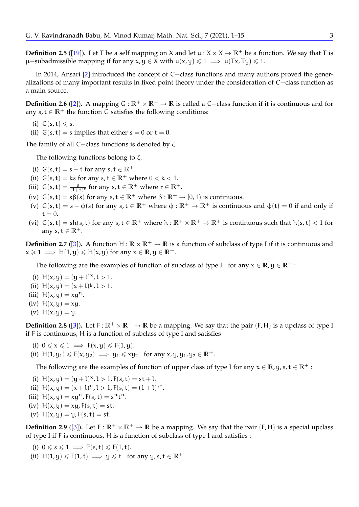<span id="page-2-0"></span>**Definition 2.5** ([\[19\]](#page-14-14)). Let T be a self mapping on X and let  $\mu$  :  $X \times X \to \mathbb{R}^+$  be a function. We say that T is µ–subadmissible mapping if for any x, y ∈ X with  $\mu(x, y) \le 1 \implies \mu(Tx, Ty) \le 1$ .

In 2014, Ansari [\[2\]](#page-13-4) introduced the concept of C−class functions and many authors proved the generalizations of many important results in fixed point theory under the consideration of C−class function as a main source.

<span id="page-2-1"></span>**Definition 2.6** ([\[2\]](#page-13-4)). A mapping  $G : \mathbb{R}^+ \times \mathbb{R}^+ \to \mathbb{R}$  is called a C−class function if it is continuous and for any  $s, t \in \mathbb{R}^+$  the function G satisfies the following conditions:

- (i)  $G(s,t) \leq s$ .
- (ii)  $G(s, t) = s$  implies that either  $s = 0$  or  $t = 0$ .

The family of all C−class functions is denoted by ζ.

The following functions belong to  $\zeta$ .

- (i)  $G(s,t) = s t$  for any  $s, t \in \mathbb{R}^+$ .
- (ii)  $G(s, t) = ks$  for any  $s, t \in \mathbb{R}^+$  where  $0 < k < 1$ .
- (iii)  $G(s,t) = \frac{s}{(1+t)^r}$  for any  $s, t \in \mathbb{R}^+$  where  $r \in \mathbb{R}^+$ .
- (iv)  $G(s, t) = s\beta(s)$  for any  $s, t \in \mathbb{R}^+$  where  $\beta : \mathbb{R}^+ \to [0, 1]$  is continuous.
- (v)  $G(s,t) = s \phi(s)$  for any  $s, t \in \mathbb{R}^+$  where  $\phi: \mathbb{R}^+ \to \mathbb{R}^+$  is continuous and  $\phi(t) = 0$  if and only if  $t = 0$ .
- (vi)  $G(s, t) = sh(s, t)$  for any  $s, t \in \mathbb{R}^+$  where  $h: \mathbb{R}^+ \times \mathbb{R}^+ \to \mathbb{R}^+$  is continuous such that  $h(s, t) < 1$  for any  $s, t \in \mathbb{R}^+$ .

<span id="page-2-2"></span>**Definition 2.7** ([\[3\]](#page-13-1)). A function  $H : \mathbb{R} \times \mathbb{R}^+ \to \mathbb{R}$  is a function of subclass of type I if it is continuous and  $x \ge 1 \implies H(1, y) \le H(x, y)$  for any  $x \in \mathbb{R}, y \in \mathbb{R}^+$ .

The following are the examples of function of subclass of type I for any  $x \in \mathbb{R}$ ,  $y \in \mathbb{R}^+$ :

- (i)  $H(x, y) = (y + l)^x, l > 1.$
- (ii)  $H(x, y) = (x + l)^y, l > 1.$
- (iii)  $H(x, y) = xu^n$ .
- (iv)  $H(x, y) = xy$ .
- (v)  $H(x, y) = y$ .

<span id="page-2-3"></span>**Definition 2.8** ([\[3\]](#page-13-1)). Let  $F: \mathbb{R}^+ \times \mathbb{R}^+ \to \mathbb{R}$  be a mapping. We say that the pair  $(F, H)$  is a upclass of type I if F is continuous, H is a function of subclass of type I and satisfies

- (i)  $0 \le x \le 1 \implies F(x,y) \le F(1,y)$ .
- (ii)  $H(1, y_1) \leq F(x, y_2) \implies y_1 \leq xy_2$  for any  $x, y, y_1, y_2 \in \mathbb{R}^+$ .

The following are the examples of function of upper class of type I for any  $x \in \mathbb{R}$ ,  $y, s, t \in \mathbb{R}^+$ :

- (i)  $H(x, y) = (y + 1)^x, 1 > 1, F(s, t) = st + 1.$
- (ii)  $H(x,y) = (x + l)^y, l > 1, F(s,t) = (1 + l)^{st}.$
- (iii)  $H(x, y) = xy^n, F(s, t) = s^n t^n.$
- (iv)  $H(x, y) = xy, F(s, t) = st.$
- (v)  $H(x, y) = y, F(s, t) = st.$

<span id="page-2-4"></span>**Definition 2.9** ([\[3\]](#page-13-1)). Let  $F: \mathbb{R}^+ \times \mathbb{R}^+ \to \mathbb{R}$  be a mapping. We say that the pair (F, H) is a special upclass of type I if F is continuous, H is a function of subclass of type I and satisfies :

- (i)  $0 \leq s \leq 1 \implies F(s,t) \leq F(1,t)$ .
- (ii)  $H(1, y) \leq F(1, t) \implies y \leq t$  for any y, s,  $t \in \mathbb{R}^+$ .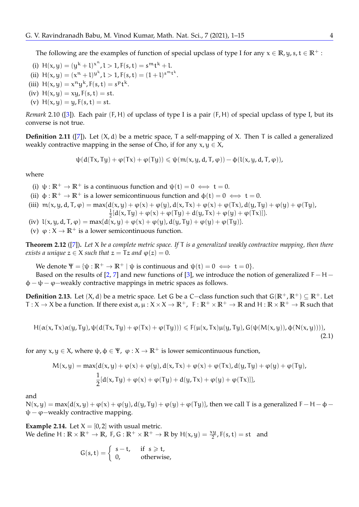The following are the examples of function of special upclass of type I for any  $x \in \mathbb{R}$ , y, s,  $t \in \mathbb{R}^+$ :

- (i)  $H(x, y) = (y^k + 1)^{x^n}, l > 1, F(s, t) = s^m t^k + l.$
- (ii)  $H(x,y) = (x^n + 1)^{y^k}, 1 > 1, F(s,t) = (1 + 1)^{s^m t^k}.$
- (iii)  $H(x, y) = x^n y^k$ ,  $F(s, t) = s^p t^k$ .
- (iv)  $H(x, y) = xy, F(s, t) = st.$
- (v)  $H(x, y) = y, F(s, t) = st.$

<span id="page-3-3"></span>*Remark* 2.10 ([\[3\]](#page-13-1))*.* Each pair (F, H) of upclass of type I is a pair (F, H) of special upclass of type I, but its converse is not true.

<span id="page-3-4"></span>**Definition 2.11** ([\[7\]](#page-14-15)). Let  $(X, d)$  be a metric space, T a self-mapping of X. Then T is called a generalized weakly contractive mapping in the sense of Cho, if for any  $x, y \in X$ ,

$$
\psi(d(Tx,Ty)+\phi(Tx)+\phi(Ty))\leqslant \psi(m(x,y,d,T,\phi))-\varphi(l(x,y,d,T,\phi)),
$$

where

- (i)  $\psi : \mathbb{R}^+ \to \mathbb{R}^+$  is a continuous function and  $\psi(t) = 0 \iff t = 0$ .
- (ii)  $\phi : \mathbb{R}^+ \to \mathbb{R}^+$  is a lower semicontinuous function and  $\phi(t) = 0 \iff t = 0$ .
- (iii)  $m(x, y, d, T, \varphi) = max{d(x, y) + \varphi(x) + \varphi(y), d(x, Tx) + \varphi(x) + \varphi(Tx), d(y, Ty) + \varphi(y) + \varphi(Ty)}$ 
	- 1  $\frac{1}{2}[d(x, Ty) + \varphi(x) + \varphi(Ty) + d(y, Tx) + \varphi(y) + \varphi(Tx)]$
- (iv)  $l(x, y, d, T, \varphi) = \max\{d(x, y) + \varphi(x) + \varphi(y), d(y, Ty) + \varphi(y) + \varphi(Ty)\}.$
- (v)  $\varphi: X \to \mathbb{R}^+$  is a lower semicontinuous function.

<span id="page-3-2"></span>**Theorem 2.12** ([\[7\]](#page-14-15))**.** *Let* X *be a complete metric space. If* T *is a generalized weakly contractive mapping, then there exists a unique*  $z \in X$  *such that*  $z = Tz$  *and*  $\varphi(z) = 0$ .

We denote  $\Psi = {\psi : \mathbb{R}^+ \to \mathbb{R}^+ | \psi \text{ is continuous and } \psi(t) = 0 \iff t = 0}.$ 

Based on the results of [\[2,](#page-13-4) [7\]](#page-14-15) and new functions of [\[3\]](#page-13-1), we introduce the notion of generalized F – H –  $\phi - \psi - \varphi$  – weakly contractive mappings in metric spaces as follows.

**Definition 2.13.** Let (X, d) be a metric space. Let G be a C−class function such that G(**R**+, **R**+) ⊆ **R**+. Let  $T: X \to X$  be a function. If there exist  $\alpha, \mu: X \times X \to \mathbb{R}^+$ ,  $F: \mathbb{R}^+ \times \mathbb{R}^+ \to \mathbb{R}$  and  $H: \mathbb{R} \times \mathbb{R}^+ \to \mathbb{R}$  such that

$$
H(\alpha(x,Tx)\alpha(y,Ty),\psi(d(Tx,Ty)+\varphi(Tx)+\varphi(Ty)))\leqslant F(\mu(x,Tx)\mu(y,Ty),G(\psi(M(x,y)),\varphi(N(x,y))))
$$
\n(2.1)

for any  $x, y \in X$ , where  $\psi, \phi \in \Psi$ ,  $\varphi : X \to \mathbb{R}^+$  is lower semicontinuous function,

$$
M(x,y) = \max\{d(x,y) + \varphi(x) + \varphi(y), d(x,Tx) + \varphi(x) + \varphi(Tx), d(y,Ty) + \varphi(y) + \varphi(Ty),
$$
  

$$
\frac{1}{2}[d(x,Ty) + \varphi(x) + \varphi(Ty) + d(y,Tx) + \varphi(y) + \varphi(Tx)]\},
$$

and

 $N(x, y) = max{d(x, y) + \varphi(x) + \varphi(y), d(y, Ty) + \varphi(y) + \varphi(Ty)}$ , then we call T is a generalized F – H –  $\varphi$  –  $\psi$  –  $\varphi$  – weakly contractive mapping.

<span id="page-3-1"></span>**Example 2.14.** Let  $X = [0, 2]$  with usual metric. We define  $H : \mathbb{R} \times \mathbb{R}^+ \to \mathbb{R}$ , F, G :  $\mathbb{R}^+ \times \mathbb{R}^+ \to \mathbb{R}$  by  $H(x, y) = \frac{xy}{2}$ ,  $F(s, t) = st$  and

<span id="page-3-0"></span>
$$
G(s,t)=\left\{\begin{array}{ll} s-t, & \text{ if } \ s\geqslant t, \\ 0, & \text{ otherwise,} \end{array}\right.
$$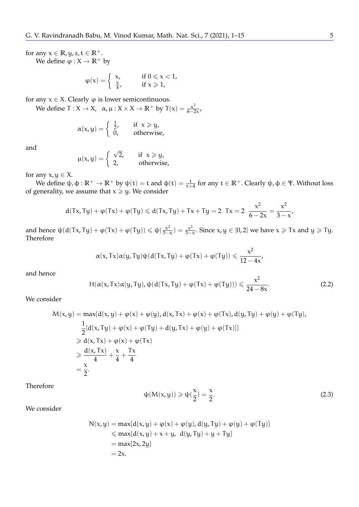for any  $x \in \mathbb{R}$ ,  $y$ ,  $s$ ,  $t \in \mathbb{R}^+$ .

We define  $\varphi: X \to \mathbb{R}^+$  by

$$
\phi(x) = \left\{ \begin{array}{ll} x, \qquad &\hbox{if } 0 \leqslant x < 1, \\ \frac{x}{4}, \qquad &\hbox{if } x \geqslant 1, \end{array} \right.
$$

for any  $x \in X$ . Clearly  $\varphi$  is lower semicontinuous.

We define  $T: X \to X$ ,  $\alpha, \mu: X \times X \to \mathbb{R}^+$  by  $T(x) = \frac{x^2}{6-x^2}$  $\frac{x}{6-2x}$ 

$$
\alpha(x,y) = \begin{cases} \frac{1}{2}, & \text{if } x \geq y, \\ 0, & \text{otherwise,} \end{cases}
$$

and

$$
\mu(x,y) = \begin{cases} \sqrt{2}, & \text{if } x \geqslant y, \\ 2, & \text{otherwise,} \end{cases}
$$

for any  $x, y \in X$ .

We define  $\psi$ ,  $\phi : \mathbb{R}^+ \to \mathbb{R}^+$  by  $\psi(t) = t$  and  $\phi(t) = \frac{t}{t+4}$  for any  $t \in \mathbb{R}^+$ . Clearly  $\psi$ ,  $\phi \in \Psi$ . Without loss of generality, we assume that  $x \geq y$ . We consider

$$
d(Tx, Ty) + \varphi(Tx) + \varphi(Ty) \le d(Tx, Ty) + Tx + Ty = 2 \quad Tx = 2 \quad \frac{x^2}{6 - 2x} = \frac{x^2}{3 - x'}
$$

and hence  $\psi(d(Tx,Ty)+\varphi(Tx)+\varphi(Ty))\leqslant \psi(\frac{x^2}{3-1})$  $\frac{x^2}{3-x}$ ) =  $\frac{x^2}{3-x}$  $\frac{x^2}{3-x}$ . Since  $x, y \in [0, 2]$  we have  $x \geqslant Tx$  and  $y \geqslant Ty$ . Therefore

$$
\alpha(x, Tx)\alpha(y, Ty)\psi(d(Tx, Ty) + \varphi(Tx) + \varphi(Ty)) \leqslant \frac{x^2}{12 - 4x},
$$

and hence

$$
H(\alpha(x, Tx)\alpha(y, Ty), \psi(d(Tx, Ty) + \varphi(Tx) + \varphi(Ty))) \leq \frac{x^2}{24 - 8x}.
$$
 (2.2)

We consider

$$
M(x,y) = \max\{d(x,y) + \varphi(x) + \varphi(y), d(x,Tx) + \varphi(x) + \varphi(Tx), d(y,Ty) + \varphi(y) + \varphi(Ty),
$$
  
\n
$$
\frac{1}{2}[d(x,Ty) + \varphi(x) + \varphi(Ty) + d(y,Tx) + \varphi(y) + \varphi(Tx)]\}
$$
  
\n
$$
\geq d(x,Tx) + \varphi(x) + \varphi(Tx)
$$
  
\n
$$
\geq \frac{d(x,Tx)}{4} + \frac{x}{4} + \frac{Tx}{4}
$$
  
\n
$$
= \frac{x}{2}.
$$

Therefore

<span id="page-4-0"></span>
$$
\psi(M(x,y)) \geqslant \psi(\frac{x}{2}) = \frac{x}{2}.
$$
\n(2.3)

We consider

$$
N(x,y) = \max\{d(x,y) + \varphi(x) + \varphi(y), d(y,Ty) + \varphi(y) + \varphi(Ty)\}
$$
  
\$\leq\$ max{d(x,y) + x + y, d(y,Ty) + y + Ty}\$  
= max{2x, 2y}  
= 2x.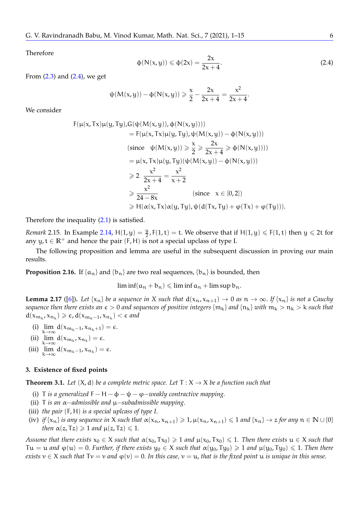Therefore

<span id="page-5-0"></span>
$$
\varphi(N(x,y)) \leq \varphi(2x) = \frac{2x}{2x+4}.
$$
\n(2.4)

From  $(2.3)$  and  $(2.4)$ , we get

$$
\psi(M(x,y)) - \phi(N(x,y)) \geq \frac{x}{2} - \frac{2x}{2x+4} = \frac{x^2}{2x+4}.
$$

We consider

$$
F(\mu(x, Tx)\mu(y, Ty), G(\psi(M(x, y)), \phi(N(x, y))))
$$
  
\n
$$
= F(\mu(x, Tx)\mu(y, Ty), \psi(M(x, y)) - \phi(N(x, y)))
$$
  
\n(since  $\psi(M(x, y)) \ge \frac{x}{2} \ge \frac{2x}{2x + 4} \ge \phi(N(x, y))))$   
\n
$$
= \mu(x, Tx)\mu(y, Ty)(\psi(M(x, y)) - \phi(N(x, y)))
$$
  
\n
$$
\ge 2 \frac{x^2}{2x + 4} = \frac{x^2}{x + 2}
$$
  
\n
$$
\ge \frac{x^2}{24 - 8x}
$$
 (since  $x \in [0, 2]$ )  
\n
$$
\ge H(\alpha(x, Tx)\alpha(y, Ty), \psi(d(Tx, Ty) + \phi(Tx) + \phi(Ty))).
$$

Therefore the inequality [\(2.1\)](#page-3-0) is satisfied.

*Remark* 2.15. In Example [2.14,](#page-3-1)  $H(1,y) = \frac{y}{2}$ ,  $F(1,t) = t$ . We observe that if  $H(1,y) \le F(1,t)$  then  $y \le 2t$  for any  $y, t \in \mathbb{R}^+$  and hence the pair  $(F, H)$  is not a special upclass of type I.

The following proposition and lemma are useful in the subsequent discussion in proving our main results.

<span id="page-5-2"></span>**Proposition 2.16.** If  $\{a_n\}$  and  $\{b_n\}$  are two real sequences,  $\{b_n\}$  is bounded, then

 $\liminf(a_n + b_n) \leqslant \liminf a_n + \limsup b_n$ .

<span id="page-5-1"></span>**Lemma 2.17** ([\[6\]](#page-14-0)). Let  $\{x_n\}$  be a sequence in X such that  $d(x_n, x_{n+1}) \to 0$  as  $n \to \infty$ . If  $\{x_n\}$  is not a Cauchy *sequence then there exists an*  $\epsilon > 0$  *and sequences of positive integers*  $\{m_k\}$  *and*  $\{n_k\}$  *with*  $m_k > n_k > k$  *such that*  $d(x_{m_k}, x_{n_k}) \geq \epsilon$ ,  $d(x_{m_k-1}, x_{n_k}) < \epsilon$  and

- (i)  $\lim_{k \to \infty} d(x_{m_k-1}, x_{n_k+1}) = \epsilon.$
- (ii)  $\lim_{k \to \infty} d(x_{m_k}, x_{n_k}) = \epsilon.$
- <sup>k</sup>→<sup>∞</sup> (iii)  $\lim_{k \to \infty} d(x_{m_k-1}, x_{n_k}) = \epsilon.$ <sup>k</sup>→<sup>∞</sup>

#### **3. Existence of fixed points**

<span id="page-5-3"></span>**Theorem 3.1.** Let  $(X, d)$  be a complete metric space. Let  $T : X \rightarrow X$  be a function such that

- (i) T *is a generalized* F  $H \phi \psi \varphi \psi$  *eakly contractive mapping.*
- (ii) T *is an* α−*admissible and* µ−*subadmissible mapping.*
- (iii) *the pair* (F, H) *is a special uplcass of type I.*
- (iv) *if*  $\{x_n\}$  *is any sequence in* X *such that*  $\alpha(x_n, x_{n+1}) \ge 1$ ,  $\mu(x_n, x_{n+1}) \le 1$  *and*  $\{x_n\} \to z$  *for any*  $n \in \mathbb{N} \cup \{0\}$ *then*  $\alpha(z, Tz) \geq 1$  *and*  $\mu(z, Tz) \leq 1$ *.*

*Assume that there exists*  $x_0 \in X$  *such that*  $\alpha(x_0, Tx_0) \geq 1$  *and*  $\mu(x_0, Tx_0) \leq 1$ *. Then there exists*  $u \in X$  *such that*  $Tu = u$  and  $\varphi(u) = 0$ . *Further, if there exists*  $y_0 \in X$  *such that*  $\alpha(y_0, Ty_0) \geq 1$  and  $\mu(y_0, Ty_0) \leq 1$ . Then there *exists*  $v \in X$  *such that*  $Tv = v$  *and*  $\varphi(v) = 0$ . In this case,  $v = u$ , that is the fixed point u is unique in this sense.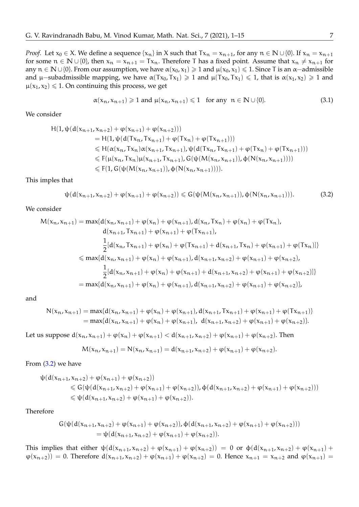*Proof.* Let  $x_0 \in X$ . We define a sequence  $\{x_n\}$  in X such that  $Tx_n = x_{n+1}$ , for any  $n \in \mathbb{N} \cup \{0\}$ . If  $x_n = x_{n+1}$ for some  $n \in \mathbb{N} \cup \{0\}$ , then  $x_n = x_{n+1} = Tx_n$ . Therefore T has a fixed point. Assume that  $x_n \neq x_{n+1}$  for any  $n \in \mathbb{N} \cup \{0\}$ . From our assumption, we have  $\alpha(x_0, x_1) \geq 1$  and  $\mu(x_0, x_1) \leq 1$ . Since T is an  $\alpha$ -admissible and  $\mu$ –subadmissible mapping, we have  $\alpha(Tx_0, Tx_1) \geq 1$  and  $\mu(Tx_0, Tx_1) \leq 1$ , that is  $\alpha(x_1, x_2) \geq 1$  and  $\mu(x_1, x_2) \leq 1$ . On continuing this process, we get

$$
\alpha(x_n, x_{n+1}) \geq 1 \text{ and } \mu(x_n, x_{n+1}) \leq 1 \quad \text{for any } n \in \mathbb{N} \cup \{0\}. \tag{3.1}
$$

We consider

$$
H(1, \psi(d(x_{n+1}, x_{n+2}) + \varphi(x_{n+1}) + \varphi(x_{n+2})))
$$
  
\n= H(1, \psi(d(Tx\_n, Tx\_{n+1}) + \varphi(Tx\_n) + \varphi(Tx\_{n+1})))  
\n
$$
\leq H(\alpha(x_n, Tx_n)\alpha(x_{n+1}, Tx_{n+1}), \psi(d(Tx_n, Tx_{n+1}) + \varphi(Tx_n) + \varphi(Tx_{n+1})))
$$
  
\n
$$
\leq F(\mu(x_n, Tx_n)\mu(x_{n+1}, Tx_{n+1}), G(\psi(M(x_n, x_{n+1})), \varphi(N(x_n, x_{n+1}))))
$$
  
\n
$$
\leq F(1, G(\psi(M(x_n, x_{n+1})), \varphi(N(x_n, x_{n+1}))))
$$
.

This imples that

<span id="page-6-0"></span>
$$
\psi(d(x_{n+1},x_{n+2}) + \phi(x_{n+1}) + \phi(x_{n+2})) \le G(\psi(M(x_n,x_{n+1})),\phi(N(x_n,x_{n+1}))).
$$
 (3.2)

We consider

$$
M(x_n, x_{n+1}) = \max\{d(x_n, x_{n+1}) + \varphi(x_n) + \varphi(x_{n+1}), d(x_n, Tx_n) + \varphi(x_n) + \varphi(Tx_n),
$$
  
\n
$$
d(x_{n+1}, Tx_{n+1}) + \varphi(x_{n+1}) + \varphi(Tx_{n+1}),
$$
  
\n
$$
\frac{1}{2}[d(x_n, Tx_{n+1}) + \varphi(x_n) + \varphi(Tx_{n+1}) + d(x_{n+1}, Tx_n) + \varphi(x_{n+1}) + \varphi(Tx_n)]\}
$$
  
\n
$$
\leq \max\{d(x_n, x_{n+1}) + \varphi(x_n) + \varphi(x_{n+1}), d(x_{n+1}, x_{n+2}) + \varphi(x_{n+1}) + \varphi(x_{n+2}),
$$
  
\n
$$
\frac{1}{2}[d(x_n, x_{n+1}) + \varphi(x_n) + \varphi(x_{n+1}) + d(x_{n+1}, x_{n+2}) + \varphi(x_{n+1}) + \varphi(x_{n+2})]\}
$$
  
\n
$$
= \max\{d(x_n, x_{n+1}) + \varphi(x_n) + \varphi(x_{n+1}), d(x_{n+1}, x_{n+2}) + \varphi(x_{n+1}) + \varphi(x_{n+2})\},
$$

and

$$
N(x_n, x_{n+1}) = \max\{d(x_n, x_{n+1}) + \varphi(x_n) + \varphi(x_{n+1}), d(x_{n+1}, Tx_{n+1}) + \varphi(x_{n+1}) + \varphi(Tx_{n+1})\}
$$
  
=  $\max\{d(x_n, x_{n+1}) + \varphi(x_n) + \varphi(x_{n+1}), d(x_{n+1}, x_{n+2}) + \varphi(x_{n+1}) + \varphi(x_{n+2})\}.$ 

Let us suppose  $d(x_n, x_{n+1}) + \varphi(x_n) + \varphi(x_{n+1}) < d(x_{n+1}, x_{n+2}) + \varphi(x_{n+1}) + \varphi(x_{n+2})$ . Then

$$
M(x_n, x_{n+1}) = N(x_n, x_{n+1}) = d(x_{n+1}, x_{n+2}) + \varphi(x_{n+1}) + \varphi(x_{n+2}).
$$

From [\(3.2\)](#page-6-0) we have

$$
\begin{aligned} \psi(d(x_{n+1},x_{n+2})+\phi(x_{n+1})+\phi(x_{n+2}))\\ &\leqslant G(\psi(d(x_{n+1},x_{n+2})+\phi(x_{n+1})+\phi(x_{n+2})),\varphi(d(x_{n+1},x_{n+2})+\phi(x_{n+1})+\phi(x_{n+2})))\\ &\leqslant \psi(d(x_{n+1},x_{n+2})+\phi(x_{n+1})+\phi(x_{n+2})). \end{aligned}
$$

Therefore

$$
G(\psi(d(x_{n+1}, x_{n+2}) + \varphi(x_{n+1}) + \varphi(x_{n+2})), \varphi(d(x_{n+1}, x_{n+2}) + \varphi(x_{n+1}) + \varphi(x_{n+2})))
$$
  
=  $\psi(d(x_{n+1}, x_{n+2}) + \varphi(x_{n+1}) + \varphi(x_{n+2})).$ 

This implies that either  $\psi(d(x_{n+1}, x_{n+2}) + \varphi(x_{n+1}) + \varphi(x_{n+2})) = 0$  or  $\phi(d(x_{n+1}, x_{n+2}) + \varphi(x_{n+1}) +$  $\varphi(x_{n+2}) = 0$ . Therefore  $d(x_{n+1}, x_{n+2}) + \varphi(x_{n+1}) + \varphi(x_{n+2}) = 0$ . Hence  $x_{n+1} = x_{n+2}$  and  $\varphi(x_{n+1}) = 0$ .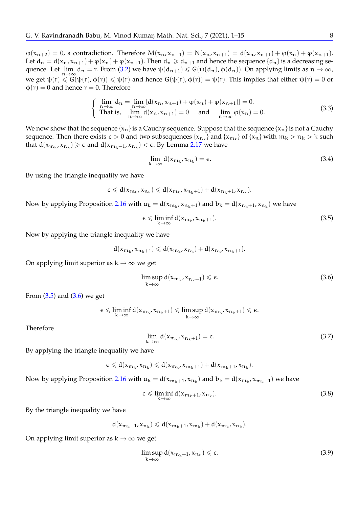$\varphi(x_{n+2}) = 0$ , a contradiction. Therefore  $M(x_n, x_{n+1}) = N(x_n, x_{n+1}) = d(x_n, x_{n+1}) + \varphi(x_n) + \varphi(x_{n+1})$ . Let  $d_n = d(x_n, x_{n+1}) + \varphi(x_n) + \varphi(x_{n+1})$ . Then  $d_n \ge d_{n+1}$  and hence the sequence  $\{d_n\}$  is a decreasing sequence. Let  $\lim_{n \to \infty} d_n = r$ . From [\(3.2\)](#page-6-0) we have  $\psi(d_{n+1}) \leq G(\psi(d_n), \phi(d_n))$ . On applying limits as  $n \to \infty$ , we get  $\psi(r) \leq G(\psi(r), \phi(r)) \leq \psi(r)$  and hence  $G(\psi(r), \phi(r)) = \psi(r)$ . This implies that either  $\psi(r) = 0$  or  $\phi(r) = 0$  and hence  $r = 0$ . Therefore

$$
\begin{cases}\n\lim_{n \to \infty} d_n = \lim_{n \to \infty} [d(x_n, x_{n+1}) + \varphi(x_n) + \varphi(x_{n+1})] = 0. \\
\text{That is, } \lim_{n \to \infty} d(x_n, x_{n+1}) = 0 \quad \text{and} \quad \lim_{n \to \infty} \varphi(x_n) = 0.\n\end{cases}
$$
\n(3.3)

We now show that the sequence  $\{x_n\}$  is a Cauchy sequence. Suppose that the sequence  $\{x_n\}$  is not a Cauchy sequence. Then there exists  $\epsilon > 0$  and two subsequences  $\{x_{n_k}\}$  and  $\{x_{m_k}\}$  of  $\{x_n\}$  with  $m_k > n_k > k$  such that  $d(x_{m_k}, x_{n_k}) \geq \varepsilon$  and  $d(x_{m_k-1}, x_{n_k}) < \varepsilon$ . By Lemma [2.17](#page-5-1) we have

$$
\lim_{k \to \infty} d(x_{m_k}, x_{n_k}) = \epsilon. \tag{3.4}
$$

By using the triangle inequality we have

$$
\varepsilon \leqslant d(x_{m_k},x_{n_k}) \leqslant d(x_{m_k},x_{n_k+1})+d(x_{n_k+1},x_{n_k}).
$$

Now by applying Proposition [2.16](#page-5-2) with  $a_k = d(x_{m_k}, x_{n_k+1})$  and  $b_k = d(x_{n_k+1}, x_{n_k})$  we have

<span id="page-7-0"></span>
$$
\epsilon \leq \liminf_{k \to \infty} d(x_{m_k}, x_{n_k+1}). \tag{3.5}
$$

Now by applying the triangle inequality we have

$$
d(\mathbf{x}_{\mathfrak{m}_k},\mathbf{x}_{\mathfrak{n}_k+1})\leqslant d(\mathbf{x}_{\mathfrak{m}_k},\mathbf{x}_{\mathfrak{n}_k})+d(\mathbf{x}_{\mathfrak{n}_k},\mathbf{x}_{\mathfrak{n}_k+1}).
$$

On applying limit superior as  $k \to \infty$  we get

<span id="page-7-1"></span>
$$
\limsup_{k \to \infty} d(x_{m_k}, x_{n_k+1}) \le \epsilon.
$$
\n(3.6)

From  $(3.5)$  and  $(3.6)$  we get

$$
\varepsilon \leqslant \liminf_{k \to \infty} d(x_{m_k}, x_{n_k+1}) \leqslant \limsup_{k \to \infty} d(x_{m_k}, x_{n_k+1}) \leqslant \varepsilon.
$$

Therefore

$$
\lim_{k \to \infty} d(x_{m_k}, x_{n_k+1}) = \epsilon. \tag{3.7}
$$

By applying the triangle inequality we have

$$
\varepsilon \leqslant d(x_{m_k},x_{n_k}) \leqslant d(x_{m_k},x_{m_k+1})+d(x_{m_k+1},x_{n_k}).
$$

Now by applying Proposition [2.16](#page-5-2) with  $a_k = d(x_{m_k+1}, x_{n_k})$  and  $b_k = d(x_{m_k}, x_{m_k+1})$  we have

<span id="page-7-2"></span>
$$
\epsilon \leq \liminf_{k \to \infty} d(x_{m_k+1}, x_{n_k}). \tag{3.8}
$$

By the triangle inequality we have

$$
d(\boldsymbol{\mathrm{x}}_{m_k+1},\boldsymbol{\mathrm{x}}_{n_k}) \leqslant d(\boldsymbol{\mathrm{x}}_{m_k+1},\boldsymbol{\mathrm{x}}_{m_k})+d(\boldsymbol{\mathrm{x}}_{m_k},\boldsymbol{\mathrm{x}}_{n_k}).
$$

On applying limit superior as  $k \to \infty$  we get

<span id="page-7-3"></span>
$$
\limsup_{k \to \infty} d(x_{m_k + 1}, x_{n_k}) \le \epsilon.
$$
\n(3.9)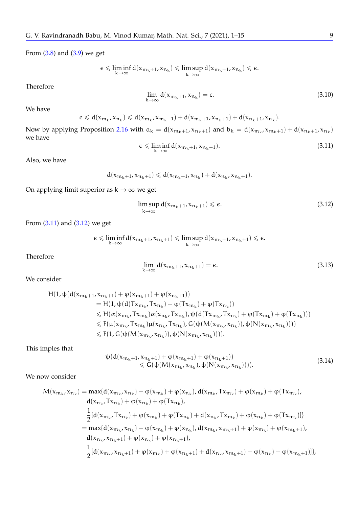From  $(3.8)$  and  $(3.9)$  we get

$$
\varepsilon \leqslant \liminf_{k \to \infty} d(x_{m_k + 1}, x_{n_k}) \leqslant \limsup_{k \to \infty} d(x_{m_k + 1}, x_{n_k}) \leqslant \varepsilon.
$$

Therefore

$$
\lim_{k \to \infty} d(x_{m_k+1}, x_{n_k}) = \epsilon.
$$
\n(3.10)

We have

$$
\varepsilon \leqslant d(x_{m_k},x_{n_k}) \leqslant d(x_{m_k},x_{m_k+1})+d(x_{m_k+1},x_{n_k+1})+d(x_{n_k+1},x_{n_k}).
$$

Now by applying Proposition [2.16](#page-5-2) with  $a_k = d(x_{m_k+1}, x_{n_k+1})$  and  $b_k = d(x_{m_k}, x_{m_k+1}) + d(x_{n_k+1}, x_{n_k})$ we have

<span id="page-8-0"></span>
$$
\epsilon \leq \liminf_{k \to \infty} d(x_{m_k+1}, x_{n_k+1}). \tag{3.11}
$$

Also, we have

$$
d(\boldsymbol{\mathrm{x}}_{m_k+1},\boldsymbol{\mathrm{x}}_{n_k+1}) \leqslant d(\boldsymbol{\mathrm{x}}_{m_k+1},\boldsymbol{\mathrm{x}}_{n_k}) + d(\boldsymbol{\mathrm{x}}_{n_k},\boldsymbol{\mathrm{x}}_{n_k+1}).
$$

On applying limit superior as  $k \rightarrow \infty$  we get

<span id="page-8-1"></span>
$$
\limsup_{k \to \infty} d(x_{m_k+1}, x_{n_k+1}) \le \epsilon.
$$
\n(3.12)

From [\(3.11\)](#page-8-0) and [\(3.12\)](#page-8-1) we get

$$
\varepsilon\leqslant \liminf_{k\to\infty} d(\textbf{x}_{\mathfrak{m}_k+1},\textbf{x}_{\mathfrak{n}_k+1})\leqslant \limsup_{k\to\infty} d(\textbf{x}_{\mathfrak{m}_k+1},\textbf{x}_{\mathfrak{n}_k+1})\leqslant \varepsilon.
$$

Therefore

$$
\lim_{k \to \infty} d(x_{m_k+1}, x_{n_k+1}) = \epsilon. \tag{3.13}
$$

We consider

$$
H(1, \psi(d(x_{m_k+1}, x_{n_k+1}) + \varphi(x_{m_k+1}) + \varphi(x_{n_k+1}))
$$
  
\n= H(1, \psi(d(Tx\_{m\_k}, Tx\_{n\_k}) + \varphi(Tx\_{m\_k}) + \varphi(Tx\_{n\_k}))  
\n
$$
\leq H(\alpha(x_{m_k}, Tx_{m_k})\alpha(x_{n_k}, Tx_{n_k}), \psi(d(Tx_{m_k}, Tx_{n_k}) + \varphi(Tx_{m_k}) + \varphi(Tx_{n_k})))
$$
  
\n
$$
\leq F(\mu(x_{m_k}, Tx_{m_k})\mu(x_{n_k}, Tx_{n_k}), G(\psi(M(x_{m_k}, x_{n_k})), \varphi(N(x_{m_k}, x_{n_k}))))\n
$$
\leq F(1, G(\psi(M(x_{m_k}, x_{n_k})), \varphi(N(x_{m_k}, x_{n_k}))))).
$$
$$

This imples that

<span id="page-8-2"></span>
$$
\psi(d(x_{m_k+1}, x_{n_k+1}) + \varphi(x_{m_k+1}) + \varphi(x_{n_k+1})) \n\leq G(\psi(M(x_{m_k}, x_{n_k}), \varphi(N(x_{m_k}, x_{n_k})))).
$$
\n(3.14)

We now consider

$$
M(x_{m_k}, x_{n_k}) = \max\{d(x_{m_k}, x_{n_k}) + \varphi(x_{m_k}) + \varphi(x_{n_k}), d(x_{m_k}, Tx_{m_k}) + \varphi(x_{m_k}) + \varphi(Tx_{m_k}),
$$
  
\n
$$
d(x_{n_k}, Tx_{n_k}) + \varphi(x_{n_k}) + \varphi(Tx_{n_k}),
$$
  
\n
$$
\frac{1}{2}[d(x_{m_k}, Tx_{n_k}) + \varphi(x_{m_k}) + \varphi(Tx_{n_k}) + d(x_{n_k}, Tx_{m_k}) + \varphi(x_{n_k}) + \varphi(Tx_{m_k})]\}
$$
  
\n
$$
= \max\{d(x_{m_k}, x_{n_k}) + \varphi(x_{m_k}) + \varphi(x_{n_k}), d(x_{m_k}, x_{m_k+1}) + \varphi(x_{m_k}) + \varphi(x_{m_k+1}),
$$
  
\n
$$
d(x_{n_k}, x_{n_k+1}) + \varphi(x_{n_k}) + \varphi(x_{n_k+1}),
$$
  
\n
$$
\frac{1}{2}[d(x_{m_k}, x_{n_k+1}) + \varphi(x_{m_k}) + \varphi(x_{n_k+1}) + d(x_{n_k}, x_{m_k+1}) + \varphi(x_{n_k}) + \varphi(x_{m_k+1})]\},
$$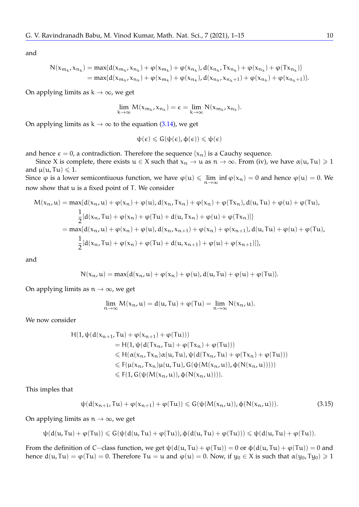and

$$
N(x_{m_k}, x_{n_k}) = \max\{d(x_{m_k}, x_{n_k}) + \varphi(x_{m_k}) + \varphi(x_{n_k}), d(x_{n_k}, Tx_{n_k}) + \varphi(x_{n_k}) + \varphi(Tx_{n_k})\}
$$
  
=  $\max\{d(x_{m_k}, x_{n_k}) + \varphi(x_{m_k}) + \varphi(x_{n_k}), d(x_{n_k}, x_{n_k+1}) + \varphi(x_{n_k}) + \varphi(x_{n_k+1})\}.$ 

On applying limits as  $k \rightarrow \infty$ , we get

$$
\lim_{k \to \infty} M(x_{m_k}, x_{n_k}) = \varepsilon = \lim_{k \to \infty} N(x_{m_k}, x_{n_k}).
$$

On applying limits as  $k \to \infty$  to the equation [\(3.14\)](#page-8-2), we get

$$
\psi(\varepsilon) \leqslant G(\psi(\varepsilon), \varphi(\varepsilon)) \leqslant \psi(\varepsilon)
$$

and hence  $\epsilon = 0$ , a contradiction. Therefore the sequence { $x_n$ } is a Cauchy sequence.

Since X is complete, there exists  $u \in X$  such that  $x_n \to u$  as  $n \to \infty$ . From (iv), we have  $\alpha(u, Tu) \ge 1$ and  $\mu(\mathfrak{u}, \mathfrak{T}\mathfrak{u}) \leq 1$ .

Since  $\varphi$  is a lower semicontiuous function, we have  $\varphi(u) \le \lim_{n \to \infty} \inf \varphi(x_n) = 0$  and hence  $\varphi(u) = 0$ . We now that u is a fixed point of T. We consider now show that u is a fixed point of T. We consider

$$
M(x_n, u) = \max\{d(x_n, u) + \varphi(x_n) + \varphi(u), d(x_n, Tx_n) + \varphi(x_n) + \varphi(Tx_n), d(u, Tu) + \varphi(u) + \varphi(Tu),
$$
  

$$
\frac{1}{2}[d(x_n, Tu) + \varphi(x_n) + \varphi(Tu) + d(u, Tx_n) + \varphi(u) + \varphi(Tx_n)]\}
$$
  

$$
= \max\{d(x_n, u) + \varphi(x_n) + \varphi(u), d(x_n, x_{n+1}) + \varphi(x_n) + \varphi(x_{n+1}), d(u, Tu) + \varphi(u) + \varphi(Tu),
$$
  

$$
\frac{1}{2}[d(x_n, Tu) + \varphi(x_n) + \varphi(Tu) + d(u, x_{n+1}) + \varphi(u) + \varphi(x_{n+1})]\},
$$

and

$$
N(x_n,u)=max\{d(x_n,u)+\phi(x_n)+\phi(u),d(u,Tu)+\phi(u)+\phi(Tu)\}.
$$

On applying limits as  $n \to \infty$ , we get

$$
\lim_{n \to \infty} M(x_n, u) = d(u, Tu) + \varphi(Tu) = \lim_{n \to \infty} N(x_n, u).
$$

We now consider

$$
H(1, \psi(d(x_{n+1}, Tu) + \varphi(x_{n+1}) + \varphi(Tu)))
$$
  
= H(1, \psi(d(Tx\_n, Tu) + \varphi(Tx\_n) + \varphi(Tu)))  

$$
\leq H(\alpha(x_n, Tx_n)\alpha(u, Tu), \psi(d(Tx_n, Tu) + \varphi(Tx_n) + \varphi(Tu)))
$$
  

$$
\leq F(\mu(x_n, Tx_n)\mu(u, Tu), G(\psi(M(x_n, u)), \varphi(N(x_n, u)))))
$$
  

$$
\leq F(1, G(\psi(M(x_n, u)), \varphi(N(x_n, u))))).
$$

This imples that

$$
\psi(d(x_{n+1},Tu)+\phi(x_{n+1})+\phi(Tu))\leqslant G(\psi(M(x_n,u)),\varphi(N(x_n,u))).\qquad \qquad (3.15)
$$

On applying limits as  $n \to \infty$ , we get

$$
\psi(d(u,\textnormal{T} u)+\phi(\textnormal{T} u))\leqslant G(\psi(d(u,\textnormal{T} u)+\phi(\textnormal{T} u)),\varphi(d(u,\textnormal{T} u)+\phi(\textnormal{T} u)))\leqslant \psi(d(u,\textnormal{T} u)+\phi(\textnormal{T} u)).
$$

From the definition of C−class function, we get  $\psi(d(u, Tu) + \varphi(Tu)) = 0$  or  $\varphi(d(u, Tu) + \varphi(Tu)) = 0$  and hence  $d(u, Tu) = \varphi(Tu) = 0$ . Therefore  $Tu = u$  and  $\varphi(u) = 0$ . Now, if  $y_0 \in X$  is such that  $\alpha(y_0, Ty_0) \ge 1$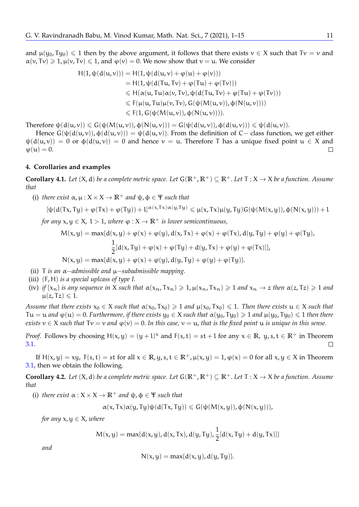$$
H(1, \psi(d(u, v))) = H(1, \psi(d(u, v) + \varphi(u) + \varphi(v)))
$$
  
= H(1, \psi(d(Tu, Tv) + \varphi(Tu) + \varphi(Tv)))  

$$
\leq H(\alpha(u, Tu)\alpha(v, Tv), \psi(d(Tu, Tv) + \varphi(Tu) + \varphi(Tv)))
$$
  

$$
\leq F(\mu(u, Tu)\mu(v, Tv), G(\psi(M(u, v)), \varphi(N(u, v))))
$$
  

$$
\leq F(1, G(\psi(M(u, v)), \varphi(N(u, v)))).
$$

Therefore  $\psi(d(u,v)) \leq G(\psi(M(u,v)), \phi(N(u,v))) = G(\psi(d(u,v)), \phi(d(u,v))) \leq \psi(d(u,v)).$ 

Hence  $G(\psi(d(u, v)), \phi(d(u, v))) = \psi(d(u, v)).$  From the definition of C– class function, we get either  $\psi(d(u, v)) = 0$  or  $\phi(d(u, v)) = 0$  and hence  $v = u$ . Therefore T has a unique fixed point  $u \in X$  and  $\varphi(\mathfrak{u})=0.$  $\Box$ 

# **4. Corollaries and examples**

**Corollary 4.1.** *Let*  $(X, d)$  *be a complete metric space. Let*  $G(\mathbb{R}^+, \mathbb{R}^+) \subseteq \mathbb{R}^+$ *. Let*  $T : X \to X$  *be a function. Assume that*

(i) *there exist*  $\alpha, \mu : X \times X \rightarrow \mathbb{R}^+$  *and*  $\psi, \phi \in \Psi$  *such that* 

$$
[\psi(d(Tx,Ty)+\phi(Tx)+\phi(Ty))+l]^{\alpha(x,Tx)\alpha(y,Ty)}\leqslant \mu(x,Tx)\mu(y,Ty)G(\psi(M(x,y)),\phi(N(x,y)))+l^{\alpha(x,Ty)}G(\psi(M(x,y)))
$$

*for any*  $x, y \in X$ ,  $l > 1$ , *where*  $\varphi : X \to \mathbb{R}^+$  *is lower semicontinuous.* 

$$
M(x,y) = \max\{d(x,y) + \varphi(x) + \varphi(y), d(x,Tx) + \varphi(x) + \varphi(Tx), d(y,Ty) + \varphi(y) + \varphi(Ty),
$$
  

$$
\frac{1}{2}[d(x,Ty) + \varphi(x) + \varphi(Ty) + d(y,Tx) + \varphi(y) + \varphi(Tx)]\},
$$
  

$$
N(x,y) = \max\{d(x,y) + \varphi(x) + \varphi(y), d(y,Ty) + \varphi(y) + \varphi(Ty)\}.
$$

- (ii) T *is an* α−*admissible and* µ−*subadmissible mapping.*
- (iii) (F, H) *is a special uplcass of type I.*
- (iv) *if*  $\{x_n\}$  *is any sequence in* X *such that*  $\alpha(x_n, Tx_n) \ge 1$ ,  $\mu(x_n, Tx_n) \ge 1$  *and*  $x_n \to z$  *then*  $\alpha(z, Tz) \ge 1$  *and*  $\mu(z, Tz) \leqslant 1.$

*Assume that there exists*  $x_0 \in X$  *such that*  $\alpha(x_0, Tx_0) \ge 1$  *and*  $\mu(x_0, Tx_0) \le 1$ *. Then there exists*  $u \in X$  *such that*  $Tu = u$  *and*  $\varphi(u) = 0$ . *Furthermore, if there exists*  $y_0 \in X$  *such that*  $\alpha(y_0, Ty_0) \ge 1$  *and*  $\mu(y_0, Ty_0) \le 1$  *then there exists*  $v \in X$  *such that*  $Tv = v$  *and*  $\varphi(v) = 0$ . In this case,  $v = u$ , that is the fixed point u is unique in this sense.

*Proof.* Follows by choosing  $H(x, y) = (y + 1)^x$  and  $F(s, t) = st + 1$  for any  $x \in \mathbb{R}$ ,  $y, s, t \in \mathbb{R}^+$  in Theorem [3.1.](#page-5-3)  $\Box$ 

If  $H(x,y) = xy$ ,  $F(s,t) = st$  for all  $x \in \mathbb{R}$ ,  $y$ ,  $s$ ,  $t \in \mathbb{R}^+$ ,  $\mu(x,y) = 1$ ,  $\varphi(x) = 0$  for all  $x, y \in X$  in Theorem [3.1,](#page-5-3) then we obtain the following.

**Corollary 4.2.** *Let*  $(X, d)$  *be a complete metric space. Let*  $G(R^+, R^+) \subset R^+$ *. Let*  $T : X \to X$  *be a function. Assume that*

(i) *there exist*  $\alpha$  :  $X \times X \rightarrow \mathbb{R}^+$  *and*  $\psi$ ,  $\phi \in \Psi$  *such that* 

$$
\alpha(x,Tx)\alpha(y,Ty)\psi(d(Tx,Ty))\leqslant G(\psi(M(x,y)),\varphi(N(x,y))),
$$

*for any*  $x, y \in X$ *, where* 

$$
M(x, y) = \max\{d(x, y), d(x, Tx), d(y, Ty), \frac{1}{2}[d(x, Ty) + d(y, Tx)]\}
$$

*and*

$$
N(x,y) = \max\{d(x,y), d(y,Ty)\}.
$$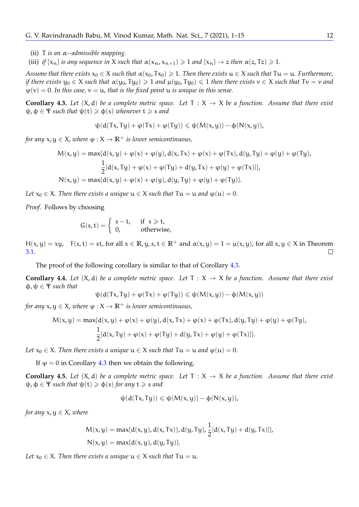(ii) T *is an* α−*admissible mapping.*

(iii) *if*  $\{x_n\}$  *is any sequence in* X *such that*  $\alpha(x_n, x_{n+1}) \ge 1$  *and*  $\{x_n\} \to z$  *then*  $\alpha(z, Tz) \ge 1$ *.* 

*Assume that there exists*  $x_0 \in X$  *such that*  $\alpha(x_0, Tx_0) \geq 1$ . Then there exists  $u \in X$  *such that*  $Tu = u$ . *Furthermore*, *if there exists*  $y_0 \in X$  *such that*  $\alpha(y_0, Ty_0) \ge 1$  *and*  $\mu(y_0, Ty_0) \le 1$  *then there exists*  $v \in X$  *such that*  $Tv = v$  *and*  $\varphi(v) = 0$ . In this case,  $v = u$ , that is the fixed point u is unique in this sense.

<span id="page-11-0"></span>**Corollary 4.3.** Let  $(X, d)$  be a complete metric space. Let  $T : X \rightarrow X$  be a function. Assume that there exist  $\psi, \phi \in \Psi$  *such that*  $\psi(t) \geq \phi(s)$  *whenever*  $t \geq s$  *and* 

$$
\psi(d(Tx,Ty)+\phi(Tx)+\phi(Ty))\leqslant \psi(M(x,y))-\varphi(N(x,y)),
$$

*for any*  $x, y \in X$ *, where*  $\varphi : X \to \mathbb{R}^+$  *is lower semicontinuous,* 

$$
M(x,y) = \max\{d(x,y) + \varphi(x) + \varphi(y), d(x,Tx) + \varphi(x) + \varphi(Tx), d(y,Ty) + \varphi(y) + \varphi(Ty),
$$
  

$$
\frac{1}{2}[d(x,Ty) + \varphi(x) + \varphi(Ty) + d(y,Tx) + \varphi(y) + \varphi(Tx)]\},
$$
  

$$
N(x,y) = \max\{d(x,y) + \varphi(x) + \varphi(y), d(y,Ty) + \varphi(y) + \varphi(Ty)\}.
$$

*Let*  $x_0 \in X$ *. Then there exists a unique*  $u \in X$  *such that*  $Tu = u$  *and*  $\varphi(u) = 0$ *.* 

*Proof.* Follows by choosing

$$
G(s,t) = \begin{cases} s-t, & \text{if } s \geq t, \\ 0, & \text{otherwise,} \end{cases}
$$

H(x, y) = xy,  $F(s, t) = st$ , for all  $x \in \mathbb{R}$ , y, s,  $t \in \mathbb{R}^+$  and  $\alpha(x, y) = 1 = \mu(x, y)$ , for all  $x, y \in X$  in Theorem [3.1.](#page-5-3)  $\Box$ 

The proof of the following corollary is similar to that of Corollary [4.3.](#page-11-0)

**Corollary 4.4.** *Let*  $(X, d)$  *be a complete metric space. Let*  $T : X \rightarrow X$  *be a function. Assume that there exist* φ, ψ ∈ Ψ *such that*

$$
\psi(d(Tx,Ty)+\phi(Tx)+\phi(Ty))\leqslant \psi(M(x,y))-\varphi(M(x,y))
$$

*for any*  $x, y \in X$ , *where*  $\varphi : X \to \mathbb{R}^+$  *is lower semicontinuous*,

$$
M(x,y) = \max\{d(x,y) + \varphi(x) + \varphi(y), d(x,Tx) + \varphi(x) + \varphi(Tx), d(y,Ty) + \varphi(y) + \varphi(Ty),
$$
  

$$
\frac{1}{2}[d(x,Ty) + \varphi(x) + \varphi(Ty) + d(y,Tx) + \varphi(y) + \varphi(Tx)]\}.
$$

*Let*  $x_0 \in X$ *. Then there exists a unique*  $u \in X$  *such that*  $Tu = u$  *and*  $\varphi(u) = 0$ *.* 

If  $\varphi = 0$  in Corollary [4.3](#page-11-0) then we obtain the following.

**Corollary 4.5.** *Let*  $(X, d)$  *be a complete metric space. Let*  $T : X \rightarrow X$  *be a function. Assume that there exist*  $\psi$ ,  $\phi \in \Psi$  *such that*  $\psi(t) \geq \phi(s)$  *for any*  $t \geq s$  *and* 

$$
\psi(d(Tx,Ty))\leqslant \psi(M(x,y))-\varphi(N(x,y)),
$$

*for any*  $x, y \in X$ *, where* 

$$
M(x, y) = \max\{d(x, y), d(x, Tx)\}, d(y, Ty), \frac{1}{2}[d(x, Ty) + d(y, Tx)]\},
$$
  

$$
N(x, y) = \max\{d(x, y), d(y, Ty)\}.
$$

*Let*  $x_0 \in X$ *. Then there exists a unique*  $u \in X$  *such that*  $Tu = u$ *.*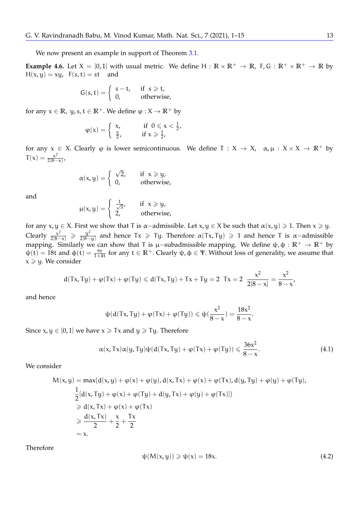We now present an example in support of Theorem [3.1.](#page-5-3)

**Example 4.6.** Let  $X = [0, 1]$  with usual metric. We define  $H : \mathbb{R} \times \mathbb{R}^+ \to \mathbb{R}$ , F, G:  $\mathbb{R}^+ \times \mathbb{R}^+ \to \mathbb{R}$  by  $H(x, y) = xy$ ,  $F(s, t) = st$  and

$$
G(s,t) = \begin{cases} s-t, & \text{if } s \geq t, \\ 0, & \text{otherwise,} \end{cases}
$$

for any  $x \in \mathbb{R}$ ,  $y, s, t \in \mathbb{R}^+$ . We define  $\varphi : X \to \mathbb{R}^+$  by

$$
\varphi(x) = \begin{cases} x, & \text{if } 0 \leq x < \frac{1}{2}, \\ \frac{x}{2}, & \text{if } x \geq \frac{1}{2}, \end{cases}
$$

for any  $x \in X$ . Clearly  $\varphi$  is lower semicontinuous. We define  $T : X \to X$ ,  $\alpha, \mu : X \times X \to \mathbb{R}^+$  by  $T(x) = \frac{x^2}{2[8]}$  $\frac{x}{2[8-x]'}$ 

$$
\alpha(x,y) = \begin{cases} \sqrt{2}, & \text{if } x \geqslant y, \\ 0, & \text{otherwise,} \end{cases}
$$

and

$$
\mu(x,y) = \begin{cases} \frac{1}{\sqrt{3}}, & \text{if } x \geq y, \\ 2, & \text{otherwise}, \end{cases}
$$

for any  $x, y \in X$ . First we show that T is  $\alpha$ -admissible. Let  $x, y \in X$  be such that  $\alpha(x, y) \geq 1$ . Then  $x \geq y$ . Clearly  $\frac{x^2}{2[8-x]} \geq \frac{y^2}{2[8-x]}$  $\frac{y^2}{2[8-y]}$  and hence Tx  $\geq$  Ty. Therefore  $\alpha(Tx, Ty) \geq 1$  and hence T is  $\alpha$ -admissible mapping. Similarly we can show that T is  $\mu$ –subadmissible mapping. We define  $\psi$ ,  $\phi$  :  $\mathbb{R}^+ \to \mathbb{R}^+$  by  $ψ(t) = 18t$  and  $φ(t) = \frac{9t}{1+4t}$  for any  $t \in \mathbb{R}^+$ . Clearly  $ψ$ ,  $φ \in \Psi$ . Without loss of generality, we assume that  $x \geqslant y$ . We consider

$$
d(Tx,Ty) + \phi(Tx) + \phi(Ty) \le d(Tx,Ty) + Tx + Ty = 2 \quad Tx = 2 \quad \frac{x^2}{2[8-x]} = \frac{x^2}{8-x},
$$

and hence

$$
\psi(d(Tx,Ty)+\phi(Tx)+\phi(Ty))\leqslant \psi(\frac{x^2}{8-x})=\frac{18x^2}{8-x}.
$$

Since  $x, y \in [0, 1]$  we have  $x \geq T x$  and  $y \geq T y$ . Therefore

$$
\alpha(x, Tx)\alpha(y, Ty)\psi(d(Tx, Ty) + \varphi(Tx) + \varphi(Ty)) \leq \frac{36x^2}{8-x}.
$$
\n(4.1)

We consider

$$
M(x,y) = \max\{d(x,y) + \varphi(x) + \varphi(y), d(x,Tx) + \varphi(x) + \varphi(Tx), d(y,Ty) + \varphi(y) + \varphi(Ty),
$$
  
\n
$$
\frac{1}{2}[d(x,Ty) + \varphi(x) + \varphi(Ty) + d(y,Tx) + \varphi(y) + \varphi(Tx)]\}
$$
  
\n
$$
\geq d(x,Tx) + \varphi(x) + \varphi(Tx)
$$
  
\n
$$
\geq \frac{d(x,Tx)}{2} + \frac{x}{2} + \frac{Tx}{2}
$$
  
\n
$$
= x.
$$

Therefore

<span id="page-12-0"></span>
$$
\psi(M(x, y)) \geqslant \psi(x) = 18x. \tag{4.2}
$$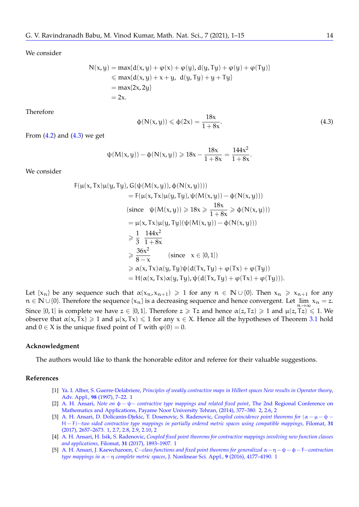We consider

$$
N(x,y) = \max\{d(x,y) + \varphi(x) + \varphi(y), d(y,Ty) + \varphi(y) + \varphi(Ty)\}
$$
  
\$\leq\$ max{ $d(x,y) + x + y, d(y,Ty) + y + Ty$ }  
 $= \max\{2x, 2y\}$   
 $= 2x.$ 

Therefore

<span id="page-13-5"></span>
$$
\Phi(N(x,y)) \leq \Phi(2x) = \frac{18x}{1+8x}.\tag{4.3}
$$

From  $(4.2)$  and  $(4.3)$  we get

$$
\psi(M(x,y)) - \phi(N(x,y)) \geqslant 18x - \frac{18x}{1+8x} = \frac{144x^2}{1+8x}.
$$

We consider

$$
F(\mu(x, Tx)\mu(y, Ty), G(\psi(M(x, y)), \phi(N(x, y))))
$$
\n
$$
= F(\mu(x, Tx)\mu(y, Ty), \psi(M(x, y)) - \phi(N(x, y)))
$$
\n(since  $\psi(M(x, y)) \ge 18x \ge \frac{18x}{1+8x} \ge \phi(N(x, y)))$   
\n
$$
= \mu(x, Tx)\mu(y, Ty)(\psi(M(x, y)) - \phi(N(x, y)))
$$
\n
$$
\ge \frac{1}{3} \frac{144x^2}{1+8x}
$$
\n
$$
\ge \frac{36x^2}{8-x}
$$
 (since  $x \in [0, 1]$ )  
\n
$$
\ge \alpha(x, Tx)\alpha(y, Ty)\psi(d(Tx, Ty) + \phi(Tx) + \phi(Ty)))
$$
  
\n
$$
= H(\alpha(x, Tx)\alpha(y, Ty), \psi(d(Tx, Ty) + \phi(Tx) + \phi(Ty))).
$$

Let  $\{x_n\}$  be any sequence such that  $\alpha(x_n, x_{n+1}) \ge 1$  for any  $n \in \mathbb{N} \cup \{0\}$ . Then  $x_n \ge x_{n+1}$  for any n ∈ **N** ∪ {0}. Therefore the sequence { $x_n$ } is a decreasing sequence and hence convergent. Let  $\lim_{n\to\infty} x_n = z$ .<br>Since [0, 1] is complete up here  $z \in [0, 1]$ . Therefore  $z > \text{Tr}$  and hence  $x(z, \text{Tr}) > 1$  and  $y(z, \text{Tr}) \le$ Since [0, 1] is complete we have  $z \in [0, 1]$ . Therefore  $z \geq Tz$  and hence  $\alpha(z, Tz) \geq 1$  and  $\mu(z, Tz) \leq 1$ . We observe that  $\alpha(x, Tx) \ge 1$  and  $\mu(x, Tx) \le 1$  for any  $x \in X$ . Hence all the hypotheses of Theorem [3.1](#page-5-3) hold and  $0 \in X$  is the unique fixed point of T with  $\varphi(0) = 0$ .

#### **Acknowledgment**

The authors would like to thank the honorable editor and referee for their valuable suggestions.

#### **References**

- <span id="page-13-0"></span>[1] Ya. I. Alber, S. Guerre-Delabriere, *[Principles of weakly contractive maps in Hilbert spaces New results in Operator theory](https://link.springer.com/chapter/10.1007/978-3-0348-8910-0_2)*, Adv. Appl., **98** [\(1997\), 7–22.](https://link.springer.com/chapter/10.1007/978-3-0348-8910-0_2) [1](#page-0-0)
- <span id="page-13-4"></span>[2] A. H. Ansari, *Note on* φ − ψ− *[contractive type mappings and related fixed point](https://www.researchgate.net/publication/309033585_Note_on_ph-ps-contractive_type_mappings_and_related_fixed_point)*, The 2nd Regional Conference on [Mathematics and Applications, Payame Noor University Tehran, \(2014\), 377–380.](https://www.researchgate.net/publication/309033585_Note_on_ph-ps-contractive_type_mappings_and_related_fixed_point) [2,](#page-2-0) [2.6,](#page-2-1) [2](#page-3-2)
- <span id="page-13-1"></span>[3] [A. H. Ansari, D. Dolicanin-Djekic, T. Dosenovic, S. Radenovic,](https://www.jstor.org/stable/26194999) *Coupled coincidence point theorems for* (α − µ − ψ − H − F)−*[two sided contractive type mappings in partially ordered metric spaces using compatible mappings](https://www.jstor.org/stable/26194999)*, Filomat, **31** [\(2017\), 2657–2673.](https://www.jstor.org/stable/26194999) [1,](#page-0-0) [2.7,](#page-2-2) [2.8,](#page-2-3) [2.9,](#page-2-4) [2.10,](#page-3-3) [2](#page-3-2)
- <span id="page-13-2"></span>[4] A. H. Ansari, H. Isik, S. Radenovic, *[Coupled fixed point theorems for contractive mappings involving new function classes](https://www.jstor.org/stable/26194926) and applications*, Filomat, **31** [\(2017\), 1893–1907.](https://www.jstor.org/stable/26194926) [1](#page-0-0)
- <span id="page-13-3"></span>[5] A. H. Ansari, J. Kaewcharoen, C−*[class functions and fixed point theorems for generalized](https://www.emis.de/journals/TJNSA/includes/files/articles/Vol9_Iss6_4177--4190_C--class_functions_and_fixed_point.pdf)* α − η − ψ − φ − F−*contraction type mappings in* α − η *complete metric spaces*[, J. Nonlinear Sci. Appl.,](https://www.emis.de/journals/TJNSA/includes/files/articles/Vol9_Iss6_4177--4190_C--class_functions_and_fixed_point.pdf) **9** (2016), 4177–4190. [1](#page-0-0)